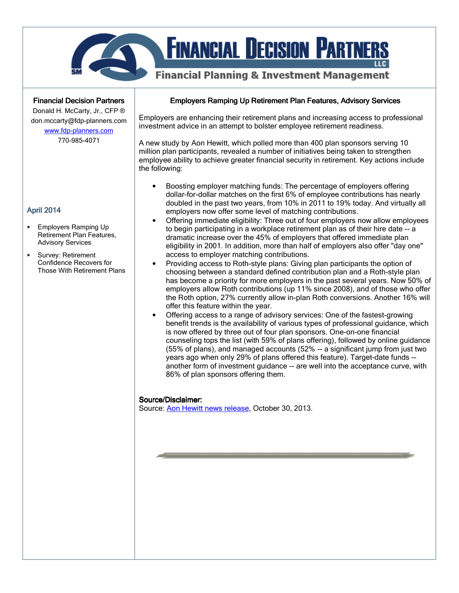

# **FINANCIAL DECISION PARTNERS**

# **Financial Planning & Investment Management**

**Financial Decision Partners** 

Donald H. McCarty, Jr., CFP ® don.mccarty@fdp-planners.com www.fdp-planners.com

770-985-4071

# April 2014

- Employers Ramping Up Retirement Plan Features, Advisory Services
- Survey: Retirement Confidence Recovers for Those With Retirement Plans

#### Employers Ramping Up Retirement Plan Features, Advisory Services

Employers are enhancing their retirement plans and increasing access to professional investment advice in an attempt to bolster employee retirement readiness.

A new study by Aon Hewitt, which polled more than 400 plan sponsors serving 10 million plan participants, revealed a number of initiatives being taken to strengthen employee ability to achieve greater financial security in retirement. Key actions include the following:

- Boosting employer matching funds: The percentage of employers offering dollar-for-dollar matches on the first 6% of employee contributions has nearly doubled in the past two years, from 10% in 2011 to 19% today. And virtually all employers now offer some level of matching contributions.
- Offering immediate eligibility: Three out of four employers now allow employees to begin participating in a workplace retirement plan as of their hire date -- a dramatic increase over the 45% of employers that offered immediate plan eligibility in 2001. In addition, more than half of employers also offer "day one" access to employer matching contributions.
- Providing access to Roth-style plans: Giving plan participants the option of choosing between a standard defined contribution plan and a Roth-style plan has become a priority for more employers in the past several years. Now 50% of employers allow Roth contributions (up 11% since 2008), and of those who offer the Roth option, 27% currently allow in-plan Roth conversions. Another 16% will offer this feature within the year.
- Offering access to a range of advisory services: One of the fastest-growing benefit trends is the availability of various types of professional guidance, which is now offered by three out of four plan sponsors. One-on-one financial counseling tops the list (with 59% of plans offering), followed by online guidance (55% of plans), and managed accounts (52% -- a significant jump from just two years ago when only 29% of plans offered this feature). Target-date funds - another form of investment guidance -- are well into the acceptance curve, with 86% of plan sponsors offering them.

#### Source/Disclaimer:

Source: Aon Hewitt news release, October 30, 2013.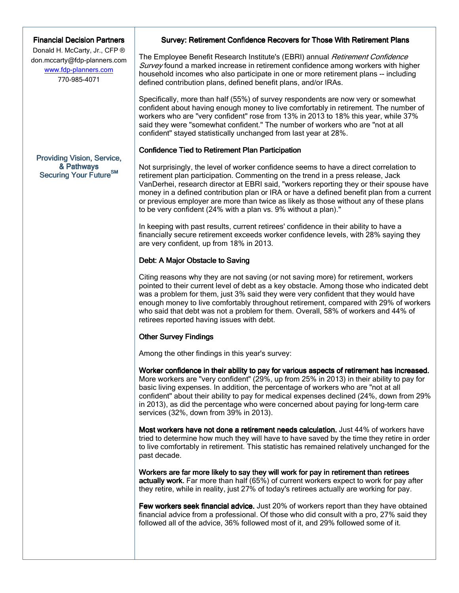# **Financial Decision Partners**

Donald H. McCarty, Jr., CFP ® don.mccarty@fdp-planners.com www.fdp-planners.com 770-985-4071

#### Providing Vision, Service, & Pathways Securing Your Future<sup>SM</sup>

#### Survey: Retirement Confidence Recovers for Those With Retirement Plans

The Employee Benefit Research Institute's (EBRI) annual *Retirement Confidence* Survey found a marked increase in retirement confidence among workers with higher household incomes who also participate in one or more retirement plans -- including defined contribution plans, defined benefit plans, and/or IRAs.

Specifically, more than half (55%) of survey respondents are now very or somewhat confident about having enough money to live comfortably in retirement. The number of workers who are "very confident" rose from 13% in 2013 to 18% this year, while 37% said they were "somewhat confident." The number of workers who are "not at all confident" stayed statistically unchanged from last year at 28%.

#### Confidence Tied to Retirement Plan Participation

Not surprisingly, the level of worker confidence seems to have a direct correlation to retirement plan participation. Commenting on the trend in a press release, Jack VanDerhei, research director at EBRI said, "workers reporting they or their spouse have money in a defined contribution plan or IRA or have a defined benefit plan from a current or previous employer are more than twice as likely as those without any of these plans to be very confident (24% with a plan vs. 9% without a plan)."

In keeping with past results, current retirees' confidence in their ability to have a financially secure retirement exceeds worker confidence levels, with 28% saying they are very confident, up from 18% in 2013.

# Debt: A Major Obstacle to Saving

Citing reasons why they are not saving (or not saving more) for retirement, workers pointed to their current level of debt as a key obstacle. Among those who indicated debt was a problem for them, just 3% said they were very confident that they would have enough money to live comfortably throughout retirement, compared with 29% of workers who said that debt was not a problem for them. Overall, 58% of workers and 44% of retirees reported having issues with debt.

#### **Other Survey Findings**

Among the other findings in this year's survey:

Worker confidence in their ability to pay for various aspects of retirement has increased. More workers are "very confident" (29%, up from 25% in 2013) in their ability to pay for basic living expenses. In addition, the percentage of workers who are "not at all confident" about their ability to pay for medical expenses declined (24%, down from 29% in 2013), as did the percentage who were concerned about paying for long-term care services (32%, down from 39% in 2013).

Most workers have not done a retirement needs calculation. Just 44% of workers have tried to determine how much they will have to have saved by the time they retire in order to live comfortably in retirement. This statistic has remained relatively unchanged for the past decade.

Workers are far more likely to say they will work for pay in retirement than retirees actually work. Far more than half (65%) of current workers expect to work for pay after they retire, while in reality, just 27% of today's retirees actually are working for pay.

Few workers seek financial advice. Just 20% of workers report than they have obtained financial advice from a professional. Of those who did consult with a pro, 27% said they followed all of the advice, 36% followed most of it, and 29% followed some of it.